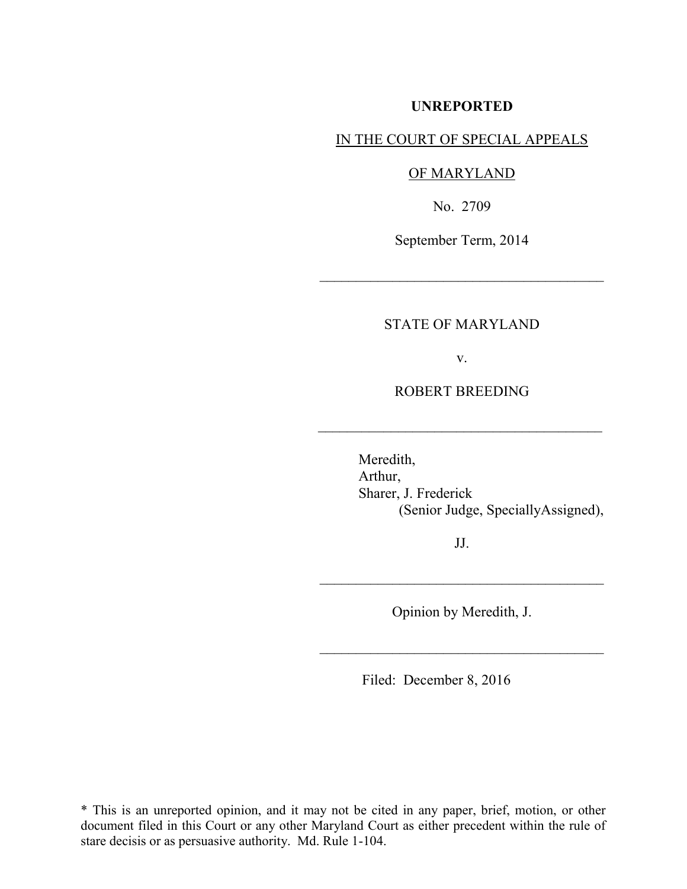# **UNREPORTED**

# IN THE COURT OF SPECIAL APPEALS

#### OF MARYLAND

No. 2709

September Term, 2014

 $\mathcal{L}_\text{max}$  , where  $\mathcal{L}_\text{max}$  and  $\mathcal{L}_\text{max}$ 

### STATE OF MARYLAND

v.

# ROBERT BREEDING

 $\mathcal{L}_\text{max}$  , where  $\mathcal{L}_\text{max}$  , we are the set of the set of the set of the set of the set of the set of the set of the set of the set of the set of the set of the set of the set of the set of the set of the set of

Meredith, Arthur, Sharer, J. Frederick (Senior Judge, SpeciallyAssigned),

JJ.

 $\frac{1}{2}$  ,  $\frac{1}{2}$  ,  $\frac{1}{2}$  ,  $\frac{1}{2}$  ,  $\frac{1}{2}$  ,  $\frac{1}{2}$  ,  $\frac{1}{2}$  ,  $\frac{1}{2}$  ,  $\frac{1}{2}$  ,  $\frac{1}{2}$  ,  $\frac{1}{2}$  ,  $\frac{1}{2}$  ,  $\frac{1}{2}$  ,  $\frac{1}{2}$  ,  $\frac{1}{2}$  ,  $\frac{1}{2}$  ,  $\frac{1}{2}$  ,  $\frac{1}{2}$  ,  $\frac{1$ 

Opinion by Meredith, J.

 $\mathcal{L}_\text{max}$  , where  $\mathcal{L}_\text{max}$  and  $\mathcal{L}_\text{max}$ 

Filed: December 8, 2016

\* This is an unreported opinion, and it may not be cited in any paper, brief, motion, or other document filed in this Court or any other Maryland Court as either precedent within the rule of stare decisis or as persuasive authority. Md. Rule 1-104.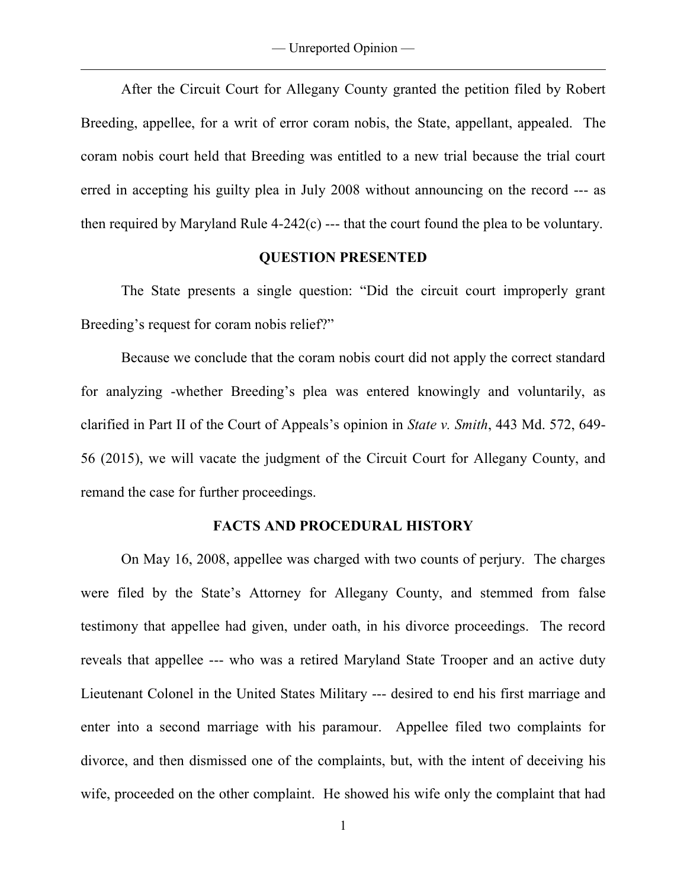— Unreported Opinion —

 $\overline{a}$ 

 After the Circuit Court for Allegany County granted the petition filed by Robert Breeding, appellee, for a writ of error coram nobis, the State, appellant, appealed. The coram nobis court held that Breeding was entitled to a new trial because the trial court erred in accepting his guilty plea in July 2008 without announcing on the record --- as then required by Maryland Rule 4-242(c) --- that the court found the plea to be voluntary.

# **QUESTION PRESENTED**

 The State presents a single question: "Did the circuit court improperly grant Breeding's request for coram nobis relief?"

 Because we conclude that the coram nobis court did not apply the correct standard for analyzing -whether Breeding's plea was entered knowingly and voluntarily, as clarified in Part II of the Court of Appeals's opinion in *State v. Smith*, 443 Md. 572, 649- 56 (2015), we will vacate the judgment of the Circuit Court for Allegany County, and remand the case for further proceedings.

# **FACTS AND PROCEDURAL HISTORY**

 On May 16, 2008, appellee was charged with two counts of perjury. The charges were filed by the State's Attorney for Allegany County, and stemmed from false testimony that appellee had given, under oath, in his divorce proceedings. The record reveals that appellee --- who was a retired Maryland State Trooper and an active duty Lieutenant Colonel in the United States Military --- desired to end his first marriage and enter into a second marriage with his paramour. Appellee filed two complaints for divorce, and then dismissed one of the complaints, but, with the intent of deceiving his wife, proceeded on the other complaint. He showed his wife only the complaint that had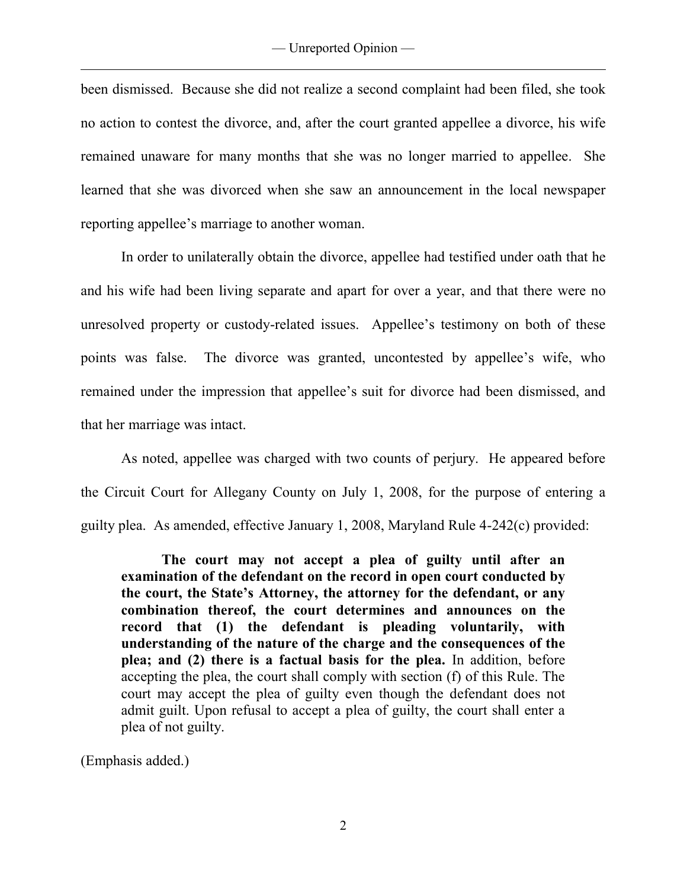been dismissed. Because she did not realize a second complaint had been filed, she took no action to contest the divorce, and, after the court granted appellee a divorce, his wife remained unaware for many months that she was no longer married to appellee. She learned that she was divorced when she saw an announcement in the local newspaper reporting appellee's marriage to another woman.

 In order to unilaterally obtain the divorce, appellee had testified under oath that he and his wife had been living separate and apart for over a year, and that there were no unresolved property or custody-related issues. Appellee's testimony on both of these points was false. The divorce was granted, uncontested by appellee's wife, who remained under the impression that appellee's suit for divorce had been dismissed, and that her marriage was intact.

 As noted, appellee was charged with two counts of perjury. He appeared before the Circuit Court for Allegany County on July 1, 2008, for the purpose of entering a guilty plea. As amended, effective January 1, 2008, Maryland Rule 4-242(c) provided:

**The court may not accept a plea of guilty until after an examination of the defendant on the record in open court conducted by the court, the State's Attorney, the attorney for the defendant, or any combination thereof, the court determines and announces on the record that (1) the defendant is pleading voluntarily, with understanding of the nature of the charge and the consequences of the plea; and (2) there is a factual basis for the plea.** In addition, before accepting the plea, the court shall comply with section (f) of this Rule. The court may accept the plea of guilty even though the defendant does not admit guilt. Upon refusal to accept a plea of guilty, the court shall enter a plea of not guilty.

(Emphasis added.)

 $\overline{a}$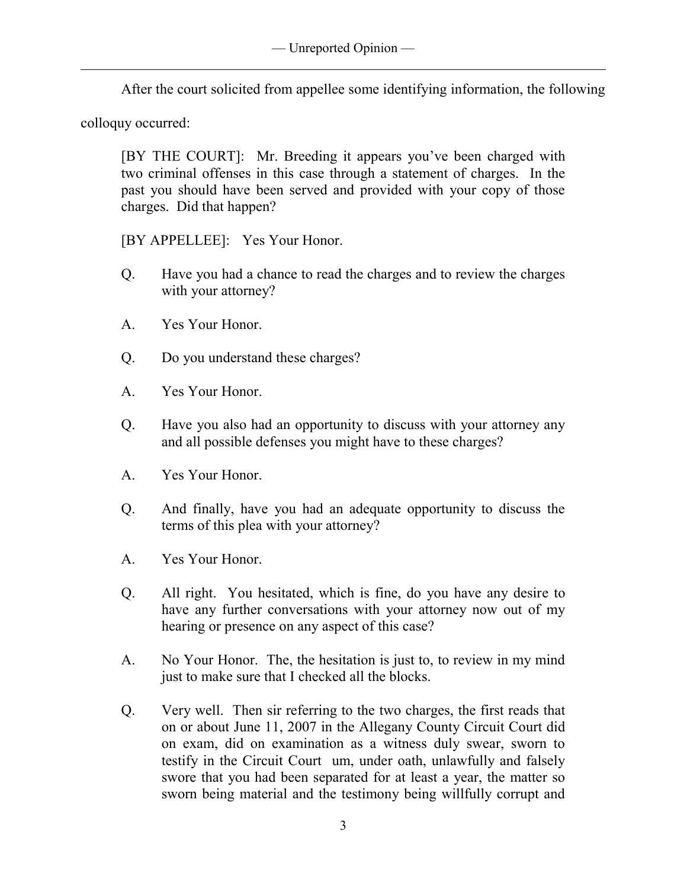After the court solicited from appellee some identifying information, the following

colloquy occurred:

 $\overline{a}$ 

[BY THE COURT]: Mr. Breeding it appears you've been charged with two criminal offenses in this case through a statement of charges. In the past you should have been served and provided with your copy of those charges. Did that happen?

[BY APPELLEE]: Yes Your Honor.

- Q. Have you had a chance to read the charges and to review the charges with your attorney?
- A. Yes Your Honor.
- Q. Do you understand these charges?
- A. Yes Your Honor.
- Q. Have you also had an opportunity to discuss with your attorney any and all possible defenses you might have to these charges?
- A. Yes Your Honor.
- Q. And finally, have you had an adequate opportunity to discuss the terms of this plea with your attorney?
- A. Yes Your Honor.
- Q. All right. You hesitated, which is fine, do you have any desire to have any further conversations with your attorney now out of my hearing or presence on any aspect of this case?
- A. No Your Honor. The, the hesitation is just to, to review in my mind just to make sure that I checked all the blocks.
- Q. Very well. Then sir referring to the two charges, the first reads that on or about June 11, 2007 in the Allegany County Circuit Court did on exam, did on examination as a witness duly swear, sworn to testify in the Circuit Court um, under oath, unlawfully and falsely swore that you had been separated for at least a year, the matter so sworn being material and the testimony being willfully corrupt and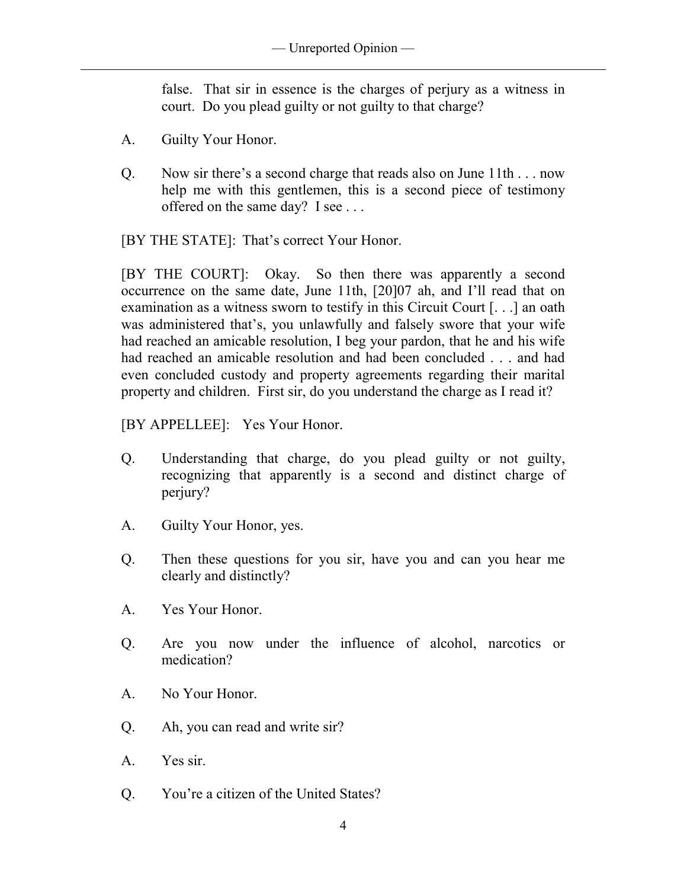false. That sir in essence is the charges of perjury as a witness in court. Do you plead guilty or not guilty to that charge?

A. Guilty Your Honor.

 $\overline{a}$ 

Q. Now sir there's a second charge that reads also on June 11th . . . now help me with this gentlemen, this is a second piece of testimony offered on the same day? I see . . .

[BY THE STATE]: That's correct Your Honor.

[BY THE COURT]: Okay. So then there was apparently a second occurrence on the same date, June 11th, [20]07 ah, and I'll read that on examination as a witness sworn to testify in this Circuit Court [. . .] an oath was administered that's, you unlawfully and falsely swore that your wife had reached an amicable resolution, I beg your pardon, that he and his wife had reached an amicable resolution and had been concluded . . . and had even concluded custody and property agreements regarding their marital property and children. First sir, do you understand the charge as I read it?

[BY APPELLEE]: Yes Your Honor.

- Q. Understanding that charge, do you plead guilty or not guilty, recognizing that apparently is a second and distinct charge of perjury?
- A. Guilty Your Honor, yes.
- Q. Then these questions for you sir, have you and can you hear me clearly and distinctly?
- A. Yes Your Honor.
- Q. Are you now under the influence of alcohol, narcotics or medication?
- A. No Your Honor.
- Q. Ah, you can read and write sir?
- A. Yes sir.
- Q. You're a citizen of the United States?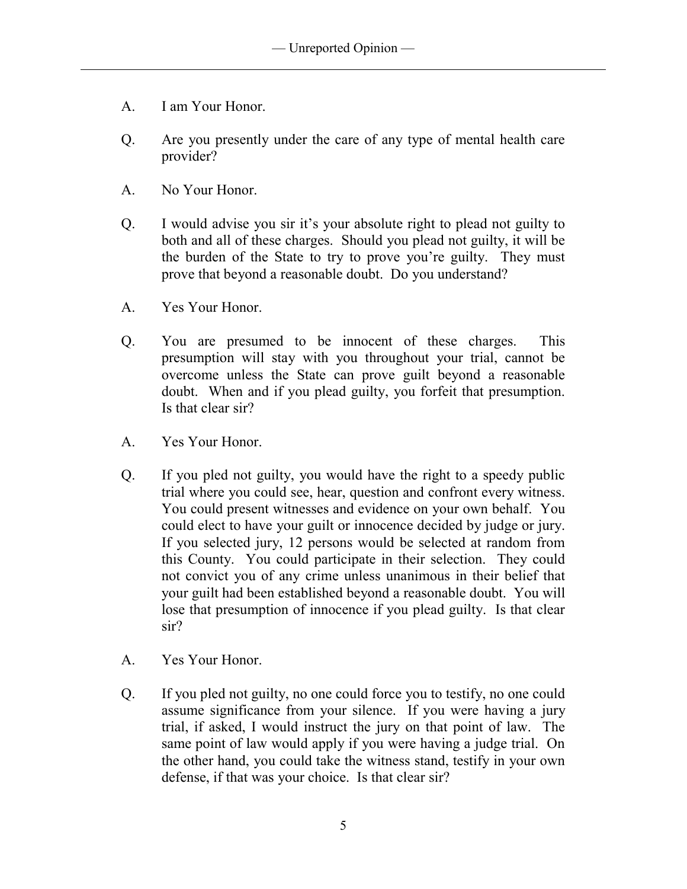A. I am Your Honor.

 $\overline{a}$ 

- Q. Are you presently under the care of any type of mental health care provider?
- A. No Your Honor.
- Q. I would advise you sir it's your absolute right to plead not guilty to both and all of these charges. Should you plead not guilty, it will be the burden of the State to try to prove you're guilty. They must prove that beyond a reasonable doubt. Do you understand?
- A. Yes Your Honor.
- Q. You are presumed to be innocent of these charges. This presumption will stay with you throughout your trial, cannot be overcome unless the State can prove guilt beyond a reasonable doubt. When and if you plead guilty, you forfeit that presumption. Is that clear sir?
- A. Yes Your Honor.
- Q. If you pled not guilty, you would have the right to a speedy public trial where you could see, hear, question and confront every witness. You could present witnesses and evidence on your own behalf. You could elect to have your guilt or innocence decided by judge or jury. If you selected jury, 12 persons would be selected at random from this County. You could participate in their selection. They could not convict you of any crime unless unanimous in their belief that your guilt had been established beyond a reasonable doubt. You will lose that presumption of innocence if you plead guilty. Is that clear sir?
- A. Yes Your Honor.
- Q. If you pled not guilty, no one could force you to testify, no one could assume significance from your silence. If you were having a jury trial, if asked, I would instruct the jury on that point of law. The same point of law would apply if you were having a judge trial. On the other hand, you could take the witness stand, testify in your own defense, if that was your choice. Is that clear sir?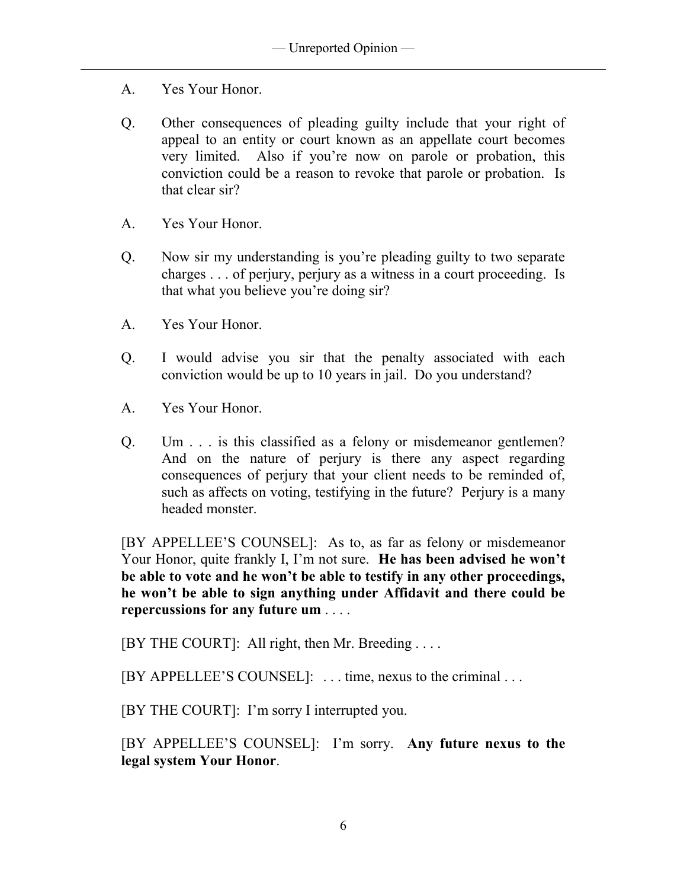A. Yes Your Honor.

 $\overline{a}$ 

- Q. Other consequences of pleading guilty include that your right of appeal to an entity or court known as an appellate court becomes very limited. Also if you're now on parole or probation, this conviction could be a reason to revoke that parole or probation. Is that clear sir?
- A. Yes Your Honor.
- Q. Now sir my understanding is you're pleading guilty to two separate charges . . . of perjury, perjury as a witness in a court proceeding. Is that what you believe you're doing sir?
- A. Yes Your Honor.
- Q. I would advise you sir that the penalty associated with each conviction would be up to 10 years in jail. Do you understand?
- A. Yes Your Honor.
- Q. Um . . . is this classified as a felony or misdemeanor gentlemen? And on the nature of perjury is there any aspect regarding consequences of perjury that your client needs to be reminded of, such as affects on voting, testifying in the future? Perjury is a many headed monster.

[BY APPELLEE'S COUNSEL]: As to, as far as felony or misdemeanor Your Honor, quite frankly I, I'm not sure. **He has been advised he won't be able to vote and he won't be able to testify in any other proceedings, he won't be able to sign anything under Affidavit and there could be repercussions for any future um** . . . .

[BY THE COURT]: All right, then Mr. Breeding . . . .

[BY APPELLEE'S COUNSEL]: . . . time, nexus to the criminal . . .

[BY THE COURT]: I'm sorry I interrupted you.

[BY APPELLEE'S COUNSEL]: I'm sorry. **Any future nexus to the legal system Your Honor**.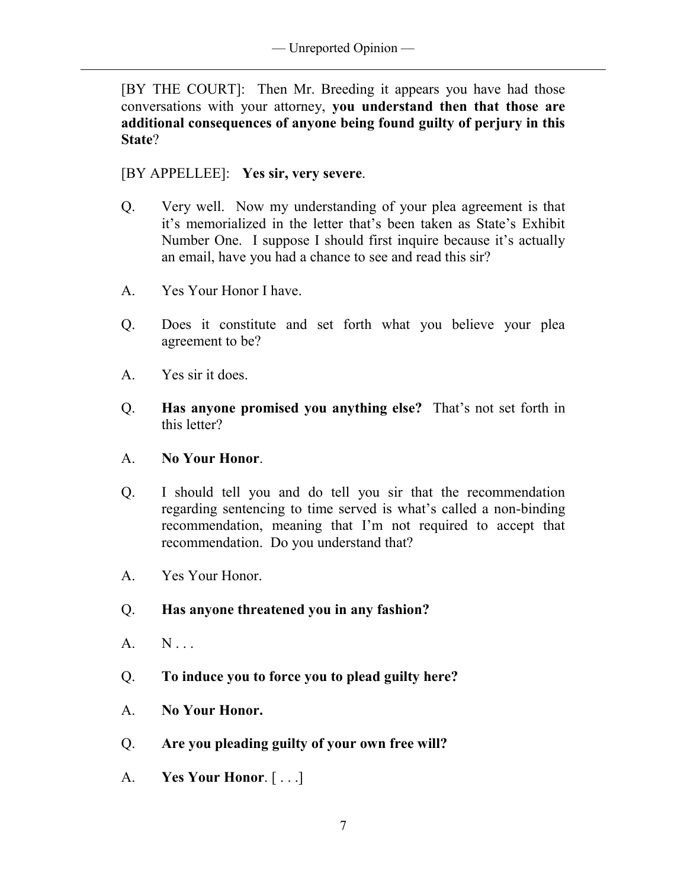[BY THE COURT]: Then Mr. Breeding it appears you have had those conversations with your attorney, **you understand then that those are additional consequences of anyone being found guilty of perjury in this State**?

[BY APPELLEE]: **Yes sir, very severe**.

- Q. Very well. Now my understanding of your plea agreement is that it's memorialized in the letter that's been taken as State's Exhibit Number One. I suppose I should first inquire because it's actually an email, have you had a chance to see and read this sir?
- A. Yes Your Honor I have.
- Q. Does it constitute and set forth what you believe your plea agreement to be?
- A. Yes sir it does.

 $\overline{a}$ 

- Q. **Has anyone promised you anything else?** That's not set forth in this letter?
- A. **No Your Honor**.
- Q. I should tell you and do tell you sir that the recommendation regarding sentencing to time served is what's called a non-binding recommendation, meaning that I'm not required to accept that recommendation. Do you understand that?
- A. Yes Your Honor.
- Q. **Has anyone threatened you in any fashion?**
- A. N...
- Q. **To induce you to force you to plead guilty here?**
- A. **No Your Honor.**
- Q. **Are you pleading guilty of your own free will?**
- A. **Yes Your Honor**. [ . . .]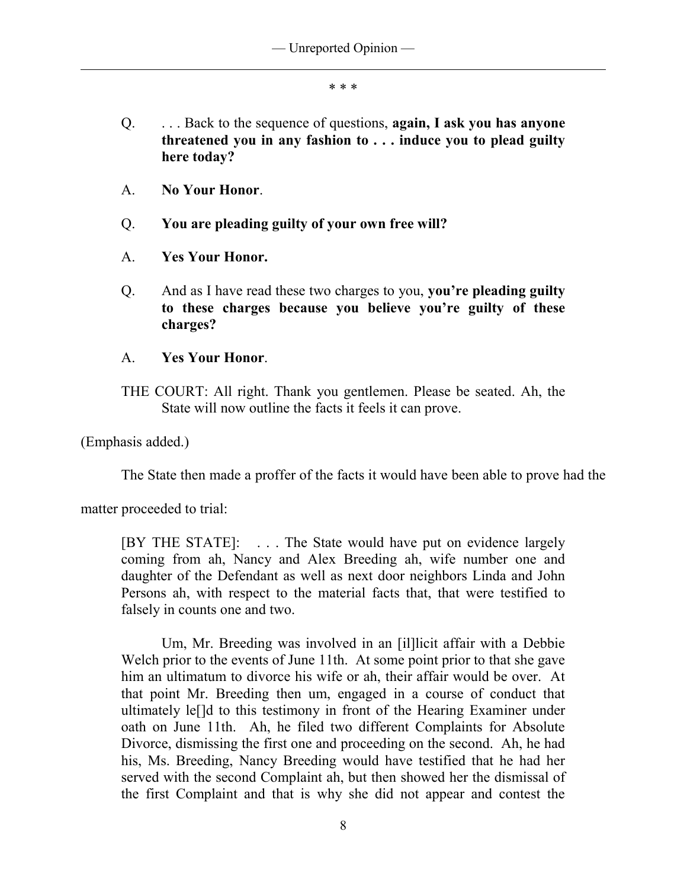\* \* \*

- Q. . . . Back to the sequence of questions, **again, I ask you has anyone threatened you in any fashion to . . . induce you to plead guilty here today?**
- A. **No Your Honor**.
- Q. **You are pleading guilty of your own free will?**
- A. **Yes Your Honor.**
- Q. And as I have read these two charges to you, **you're pleading guilty to these charges because you believe you're guilty of these charges?**
- A. **Yes Your Honor**.
- THE COURT: All right. Thank you gentlemen. Please be seated. Ah, the State will now outline the facts it feels it can prove.

(Emphasis added.)

 $\overline{a}$ 

The State then made a proffer of the facts it would have been able to prove had the

matter proceeded to trial:

[BY THE STATE]: . . . The State would have put on evidence largely coming from ah, Nancy and Alex Breeding ah, wife number one and daughter of the Defendant as well as next door neighbors Linda and John Persons ah, with respect to the material facts that, that were testified to falsely in counts one and two.

 Um, Mr. Breeding was involved in an [il]licit affair with a Debbie Welch prior to the events of June 11th. At some point prior to that she gave him an ultimatum to divorce his wife or ah, their affair would be over. At that point Mr. Breeding then um, engaged in a course of conduct that ultimately le[]d to this testimony in front of the Hearing Examiner under oath on June 11th. Ah, he filed two different Complaints for Absolute Divorce, dismissing the first one and proceeding on the second. Ah, he had his, Ms. Breeding, Nancy Breeding would have testified that he had her served with the second Complaint ah, but then showed her the dismissal of the first Complaint and that is why she did not appear and contest the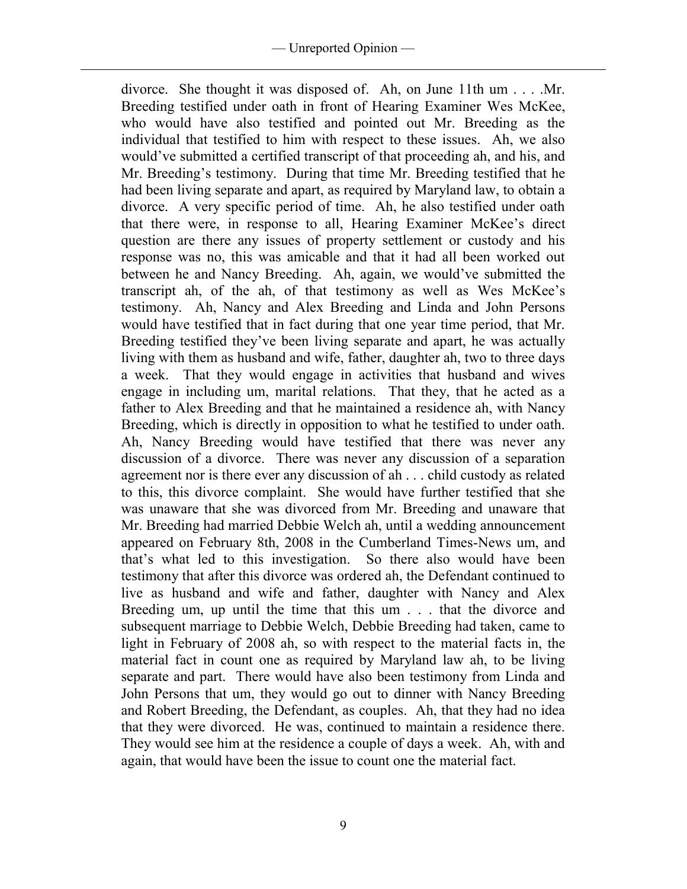divorce. She thought it was disposed of. Ah, on June 11th um . . . .Mr. Breeding testified under oath in front of Hearing Examiner Wes McKee, who would have also testified and pointed out Mr. Breeding as the individual that testified to him with respect to these issues. Ah, we also would've submitted a certified transcript of that proceeding ah, and his, and Mr. Breeding's testimony. During that time Mr. Breeding testified that he had been living separate and apart, as required by Maryland law, to obtain a divorce. A very specific period of time. Ah, he also testified under oath that there were, in response to all, Hearing Examiner McKee's direct question are there any issues of property settlement or custody and his response was no, this was amicable and that it had all been worked out between he and Nancy Breeding. Ah, again, we would've submitted the transcript ah, of the ah, of that testimony as well as Wes McKee's testimony. Ah, Nancy and Alex Breeding and Linda and John Persons would have testified that in fact during that one year time period, that Mr. Breeding testified they've been living separate and apart, he was actually living with them as husband and wife, father, daughter ah, two to three days a week. That they would engage in activities that husband and wives engage in including um, marital relations. That they, that he acted as a father to Alex Breeding and that he maintained a residence ah, with Nancy Breeding, which is directly in opposition to what he testified to under oath. Ah, Nancy Breeding would have testified that there was never any discussion of a divorce. There was never any discussion of a separation agreement nor is there ever any discussion of ah . . . child custody as related to this, this divorce complaint. She would have further testified that she was unaware that she was divorced from Mr. Breeding and unaware that Mr. Breeding had married Debbie Welch ah, until a wedding announcement appeared on February 8th, 2008 in the Cumberland Times-News um, and that's what led to this investigation. So there also would have been testimony that after this divorce was ordered ah, the Defendant continued to live as husband and wife and father, daughter with Nancy and Alex Breeding um, up until the time that this um . . . that the divorce and subsequent marriage to Debbie Welch, Debbie Breeding had taken, came to light in February of 2008 ah, so with respect to the material facts in, the material fact in count one as required by Maryland law ah, to be living separate and part. There would have also been testimony from Linda and John Persons that um, they would go out to dinner with Nancy Breeding and Robert Breeding, the Defendant, as couples. Ah, that they had no idea that they were divorced. He was, continued to maintain a residence there. They would see him at the residence a couple of days a week. Ah, with and again, that would have been the issue to count one the material fact.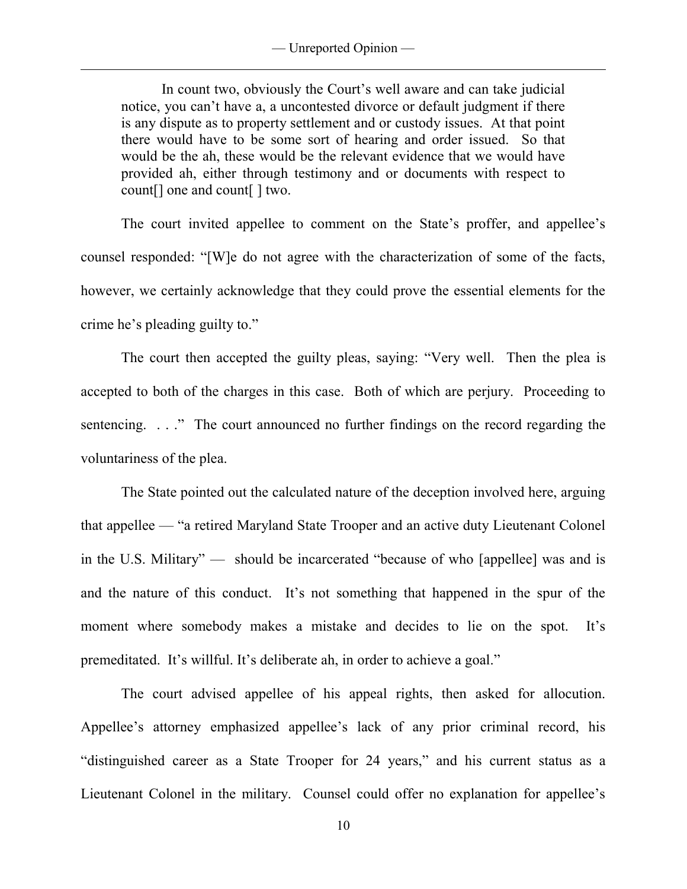— Unreported Opinion —

 $\overline{a}$ 

 In count two, obviously the Court's well aware and can take judicial notice, you can't have a, a uncontested divorce or default judgment if there is any dispute as to property settlement and or custody issues. At that point there would have to be some sort of hearing and order issued. So that would be the ah, these would be the relevant evidence that we would have provided ah, either through testimony and or documents with respect to count[] one and count[ ] two.

 The court invited appellee to comment on the State's proffer, and appellee's counsel responded: "[W]e do not agree with the characterization of some of the facts, however, we certainly acknowledge that they could prove the essential elements for the crime he's pleading guilty to."

The court then accepted the guilty pleas, saying: "Very well. Then the plea is accepted to both of the charges in this case. Both of which are perjury. Proceeding to sentencing. . . ." The court announced no further findings on the record regarding the voluntariness of the plea.

 The State pointed out the calculated nature of the deception involved here, arguing that appellee — "a retired Maryland State Trooper and an active duty Lieutenant Colonel in the U.S. Military" — should be incarcerated "because of who [appellee] was and is and the nature of this conduct. It's not something that happened in the spur of the moment where somebody makes a mistake and decides to lie on the spot. It's premeditated. It's willful. It's deliberate ah, in order to achieve a goal."

 The court advised appellee of his appeal rights, then asked for allocution. Appellee's attorney emphasized appellee's lack of any prior criminal record, his "distinguished career as a State Trooper for 24 years," and his current status as a Lieutenant Colonel in the military. Counsel could offer no explanation for appellee's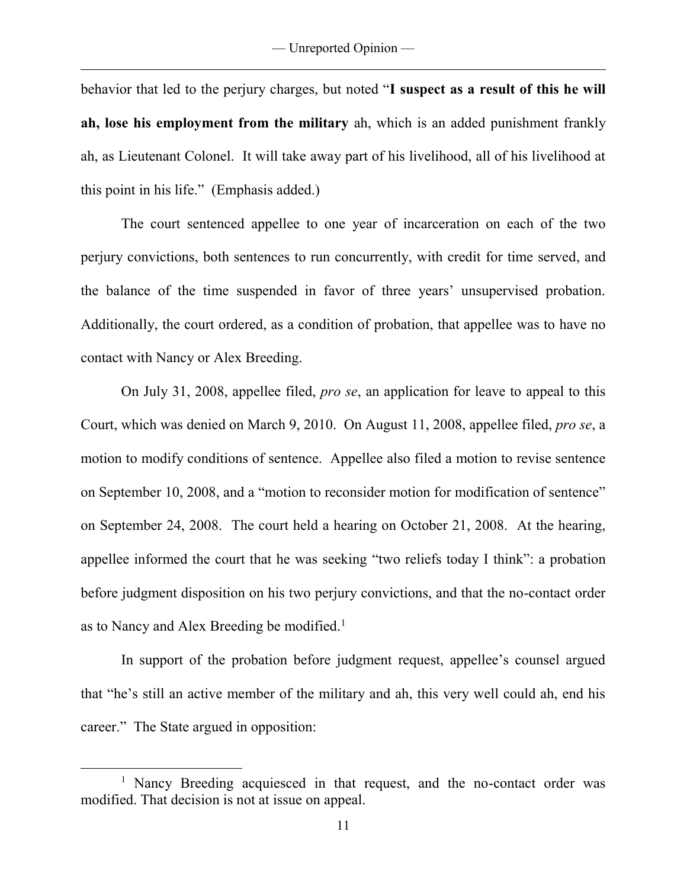$\overline{a}$ 

behavior that led to the perjury charges, but noted "**I suspect as a result of this he will ah, lose his employment from the military** ah, which is an added punishment frankly ah, as Lieutenant Colonel. It will take away part of his livelihood, all of his livelihood at this point in his life." (Emphasis added.)

 The court sentenced appellee to one year of incarceration on each of the two perjury convictions, both sentences to run concurrently, with credit for time served, and the balance of the time suspended in favor of three years' unsupervised probation. Additionally, the court ordered, as a condition of probation, that appellee was to have no contact with Nancy or Alex Breeding.

 On July 31, 2008, appellee filed, *pro se*, an application for leave to appeal to this Court, which was denied on March 9, 2010. On August 11, 2008, appellee filed, *pro se*, a motion to modify conditions of sentence. Appellee also filed a motion to revise sentence on September 10, 2008, and a "motion to reconsider motion for modification of sentence" on September 24, 2008. The court held a hearing on October 21, 2008. At the hearing, appellee informed the court that he was seeking "two reliefs today I think": a probation before judgment disposition on his two perjury convictions, and that the no-contact order as to Nancy and Alex Breeding be modified.<sup>1</sup>

 In support of the probation before judgment request, appellee's counsel argued that "he's still an active member of the military and ah, this very well could ah, end his career." The State argued in opposition:

<sup>&</sup>lt;sup>1</sup> Nancy Breeding acquiesced in that request, and the no-contact order was modified. That decision is not at issue on appeal.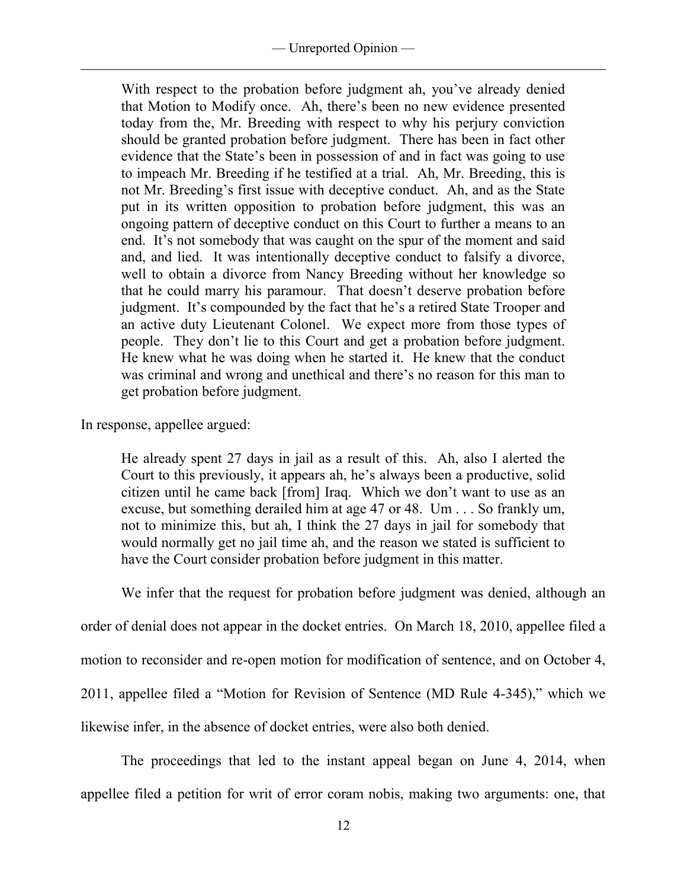With respect to the probation before judgment ah, you've already denied that Motion to Modify once. Ah, there's been no new evidence presented today from the, Mr. Breeding with respect to why his perjury conviction should be granted probation before judgment. There has been in fact other evidence that the State's been in possession of and in fact was going to use to impeach Mr. Breeding if he testified at a trial. Ah, Mr. Breeding, this is not Mr. Breeding's first issue with deceptive conduct. Ah, and as the State put in its written opposition to probation before judgment, this was an ongoing pattern of deceptive conduct on this Court to further a means to an end. It's not somebody that was caught on the spur of the moment and said and, and lied. It was intentionally deceptive conduct to falsify a divorce, well to obtain a divorce from Nancy Breeding without her knowledge so that he could marry his paramour. That doesn't deserve probation before judgment. It's compounded by the fact that he's a retired State Trooper and an active duty Lieutenant Colonel. We expect more from those types of people. They don't lie to this Court and get a probation before judgment. He knew what he was doing when he started it. He knew that the conduct was criminal and wrong and unethical and there's no reason for this man to get probation before judgment.

In response, appellee argued:

 $\overline{a}$ 

He already spent 27 days in jail as a result of this. Ah, also I alerted the Court to this previously, it appears ah, he's always been a productive, solid citizen until he came back [from] Iraq. Which we don't want to use as an excuse, but something derailed him at age 47 or 48. Um . . . So frankly um, not to minimize this, but ah, I think the 27 days in jail for somebody that would normally get no jail time ah, and the reason we stated is sufficient to have the Court consider probation before judgment in this matter.

 We infer that the request for probation before judgment was denied, although an order of denial does not appear in the docket entries. On March 18, 2010, appellee filed a motion to reconsider and re-open motion for modification of sentence, and on October 4, 2011, appellee filed a "Motion for Revision of Sentence (MD Rule 4-345)," which we likewise infer, in the absence of docket entries, were also both denied.

 The proceedings that led to the instant appeal began on June 4, 2014, when appellee filed a petition for writ of error coram nobis, making two arguments: one, that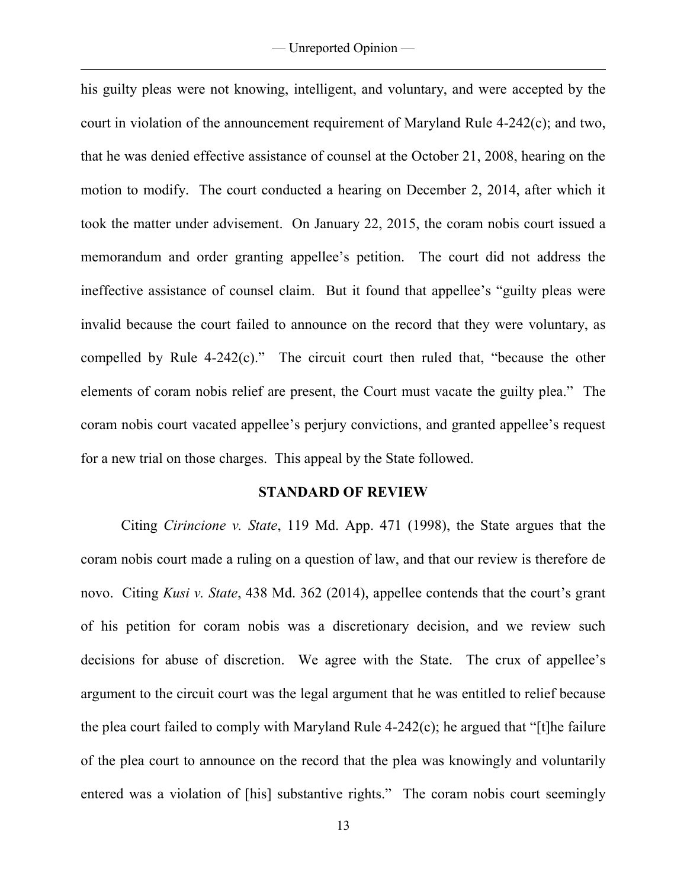his guilty pleas were not knowing, intelligent, and voluntary, and were accepted by the court in violation of the announcement requirement of Maryland Rule 4-242(c); and two, that he was denied effective assistance of counsel at the October 21, 2008, hearing on the motion to modify. The court conducted a hearing on December 2, 2014, after which it took the matter under advisement. On January 22, 2015, the coram nobis court issued a memorandum and order granting appellee's petition. The court did not address the ineffective assistance of counsel claim. But it found that appellee's "guilty pleas were invalid because the court failed to announce on the record that they were voluntary, as compelled by Rule 4-242(c)." The circuit court then ruled that, "because the other elements of coram nobis relief are present, the Court must vacate the guilty plea." The coram nobis court vacated appellee's perjury convictions, and granted appellee's request for a new trial on those charges. This appeal by the State followed.

## **STANDARD OF REVIEW**

Citing *Cirincione v. State*, 119 Md. App. 471 (1998), the State argues that the coram nobis court made a ruling on a question of law, and that our review is therefore de novo. Citing *Kusi v. State*, 438 Md. 362 (2014), appellee contends that the court's grant of his petition for coram nobis was a discretionary decision, and we review such decisions for abuse of discretion. We agree with the State. The crux of appellee's argument to the circuit court was the legal argument that he was entitled to relief because the plea court failed to comply with Maryland Rule 4-242(c); he argued that "[t]he failure of the plea court to announce on the record that the plea was knowingly and voluntarily entered was a violation of [his] substantive rights." The coram nobis court seemingly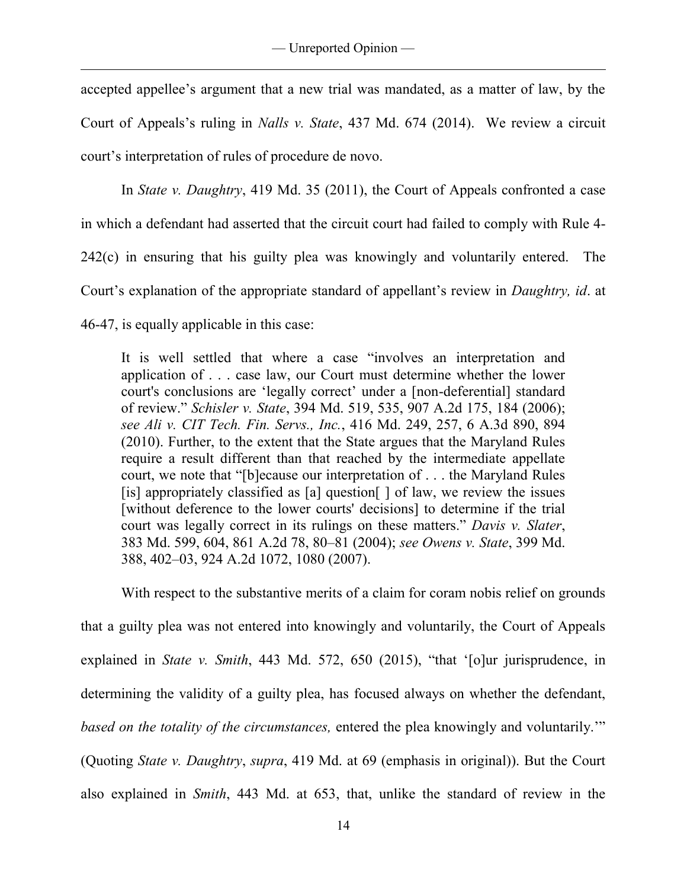accepted appellee's argument that a new trial was mandated, as a matter of law, by the Court of Appeals's ruling in *Nalls v. State*, 437 Md. 674 (2014). We review a circuit court's interpretation of rules of procedure de novo.

In *State v. Daughtry*, 419 Md. 35 (2011), the Court of Appeals confronted a case in which a defendant had asserted that the circuit court had failed to comply with Rule 4- 242(c) in ensuring that his guilty plea was knowingly and voluntarily entered. The Court's explanation of the appropriate standard of appellant's review in *Daughtry, id*. at 46-47, is equally applicable in this case:

It is well settled that where a case "involves an interpretation and application of . . . case law, our Court must determine whether the lower court's conclusions are 'legally correct' under a [non-deferential] standard of review." *Schisler v. State*, 394 Md. 519, 535, 907 A.2d 175, 184 (2006); *see Ali v. CIT Tech. Fin. Servs., Inc.*, 416 Md. 249, 257, 6 A.3d 890, 894 (2010). Further, to the extent that the State argues that the Maryland Rules require a result different than that reached by the intermediate appellate court, we note that "[b]ecause our interpretation of . . . the Maryland Rules [is] appropriately classified as  $[a]$  question $[ ]$  of law, we review the issues [without deference to the lower courts' decisions] to determine if the trial court was legally correct in its rulings on these matters." *Davis v. Slater*, 383 Md. 599, 604, 861 A.2d 78, 80–81 (2004); *see Owens v. State*, 399 Md. 388, 402–03, 924 A.2d 1072, 1080 (2007).

With respect to the substantive merits of a claim for coram nobis relief on grounds that a guilty plea was not entered into knowingly and voluntarily, the Court of Appeals explained in *State v. Smith*, 443 Md. 572, 650 (2015), "that '[o]ur jurisprudence, in determining the validity of a guilty plea, has focused always on whether the defendant, *based on the totality of the circumstances,* entered the plea knowingly and voluntarily.'" (Quoting *State v. Daughtry*, *supra*, 419 Md. at 69 (emphasis in original)). But the Court also explained in *Smith*, 443 Md. at 653, that, unlike the standard of review in the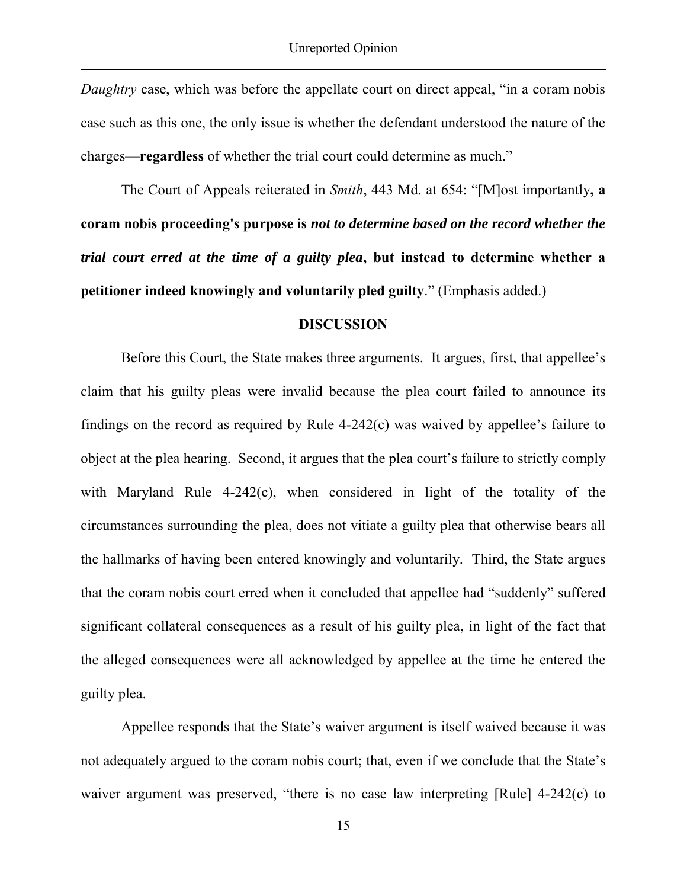*Daughtry* case, which was before the appellate court on direct appeal, "in a coram nobis case such as this one, the only issue is whether the defendant understood the nature of the charges—**regardless** of whether the trial court could determine as much."

The Court of Appeals reiterated in *Smith*, 443 Md. at 654: "[M]ost importantly**, a coram nobis proceeding's purpose is** *not to determine based on the record whether the trial court erred at the time of a guilty plea***, but instead to determine whether a petitioner indeed knowingly and voluntarily pled guilty**." (Emphasis added.)

#### **DISCUSSION**

 Before this Court, the State makes three arguments. It argues, first, that appellee's claim that his guilty pleas were invalid because the plea court failed to announce its findings on the record as required by Rule 4-242(c) was waived by appellee's failure to object at the plea hearing. Second, it argues that the plea court's failure to strictly comply with Maryland Rule 4-242(c), when considered in light of the totality of the circumstances surrounding the plea, does not vitiate a guilty plea that otherwise bears all the hallmarks of having been entered knowingly and voluntarily. Third, the State argues that the coram nobis court erred when it concluded that appellee had "suddenly" suffered significant collateral consequences as a result of his guilty plea, in light of the fact that the alleged consequences were all acknowledged by appellee at the time he entered the guilty plea.

Appellee responds that the State's waiver argument is itself waived because it was not adequately argued to the coram nobis court; that, even if we conclude that the State's waiver argument was preserved, "there is no case law interpreting [Rule] 4-242(c) to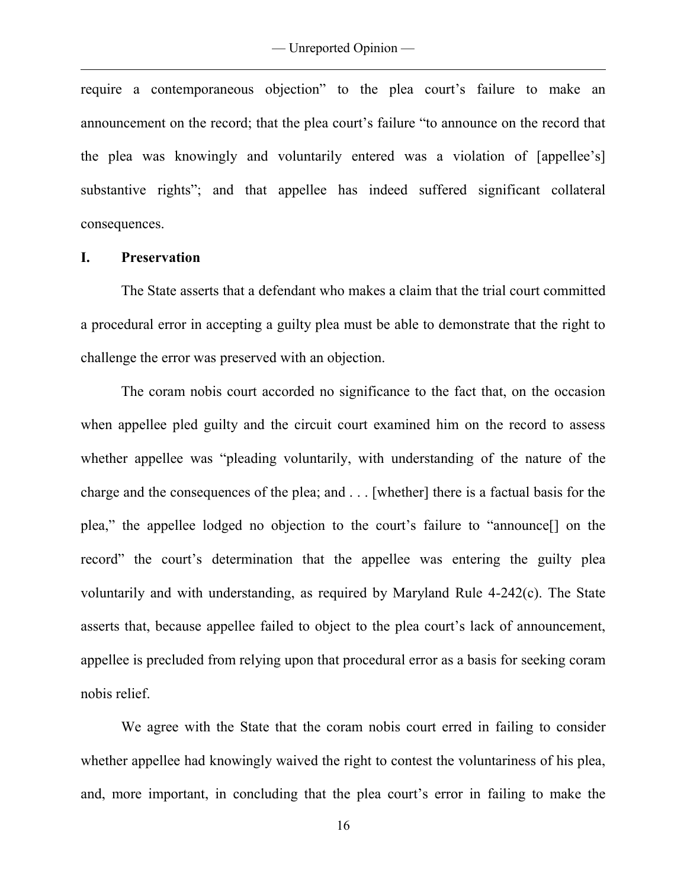require a contemporaneous objection" to the plea court's failure to make an announcement on the record; that the plea court's failure "to announce on the record that the plea was knowingly and voluntarily entered was a violation of [appellee's] substantive rights"; and that appellee has indeed suffered significant collateral consequences.

# **I. Preservation**

 $\overline{a}$ 

The State asserts that a defendant who makes a claim that the trial court committed a procedural error in accepting a guilty plea must be able to demonstrate that the right to challenge the error was preserved with an objection.

 The coram nobis court accorded no significance to the fact that, on the occasion when appellee pled guilty and the circuit court examined him on the record to assess whether appellee was "pleading voluntarily, with understanding of the nature of the charge and the consequences of the plea; and . . . [whether] there is a factual basis for the plea," the appellee lodged no objection to the court's failure to "announce[] on the record" the court's determination that the appellee was entering the guilty plea voluntarily and with understanding, as required by Maryland Rule 4-242(c). The State asserts that, because appellee failed to object to the plea court's lack of announcement, appellee is precluded from relying upon that procedural error as a basis for seeking coram nobis relief.

 We agree with the State that the coram nobis court erred in failing to consider whether appellee had knowingly waived the right to contest the voluntariness of his plea, and, more important, in concluding that the plea court's error in failing to make the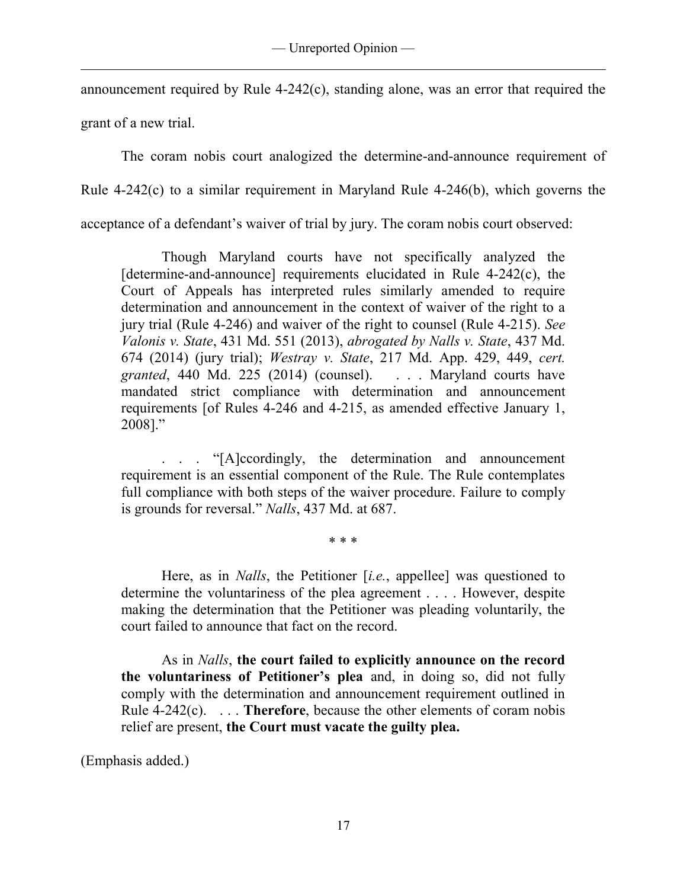announcement required by Rule 4-242(c), standing alone, was an error that required the grant of a new trial.

 The coram nobis court analogized the determine-and-announce requirement of Rule 4-242(c) to a similar requirement in Maryland Rule 4-246(b), which governs the acceptance of a defendant's waiver of trial by jury. The coram nobis court observed:

 Though Maryland courts have not specifically analyzed the  $[determine-and-announce]$  requirements elucidated in Rule  $4-242(c)$ , the Court of Appeals has interpreted rules similarly amended to require determination and announcement in the context of waiver of the right to a jury trial (Rule 4-246) and waiver of the right to counsel (Rule 4-215). *See Valonis v. State*, 431 Md. 551 (2013), *abrogated by Nalls v. State*, 437 Md. 674 (2014) (jury trial); *Westray v. State*, 217 Md. App. 429, 449, *cert. granted*, 440 Md. 225 (2014) (counsel). . . . Maryland courts have mandated strict compliance with determination and announcement requirements [of Rules 4-246 and 4-215, as amended effective January 1, 2008]."

"[A]ccordingly, the determination and announcement requirement is an essential component of the Rule. The Rule contemplates full compliance with both steps of the waiver procedure. Failure to comply is grounds for reversal." *Nalls*, 437 Md. at 687.

\* \* \*

 Here, as in *Nalls*, the Petitioner [*i.e.*, appellee] was questioned to determine the voluntariness of the plea agreement . . . . However, despite making the determination that the Petitioner was pleading voluntarily, the court failed to announce that fact on the record.

 As in *Nalls*, **the court failed to explicitly announce on the record the voluntariness of Petitioner's plea** and, in doing so, did not fully comply with the determination and announcement requirement outlined in Rule 4-242(c). . . . **Therefore**, because the other elements of coram nobis relief are present, **the Court must vacate the guilty plea.**

(Emphasis added.)

 $\overline{a}$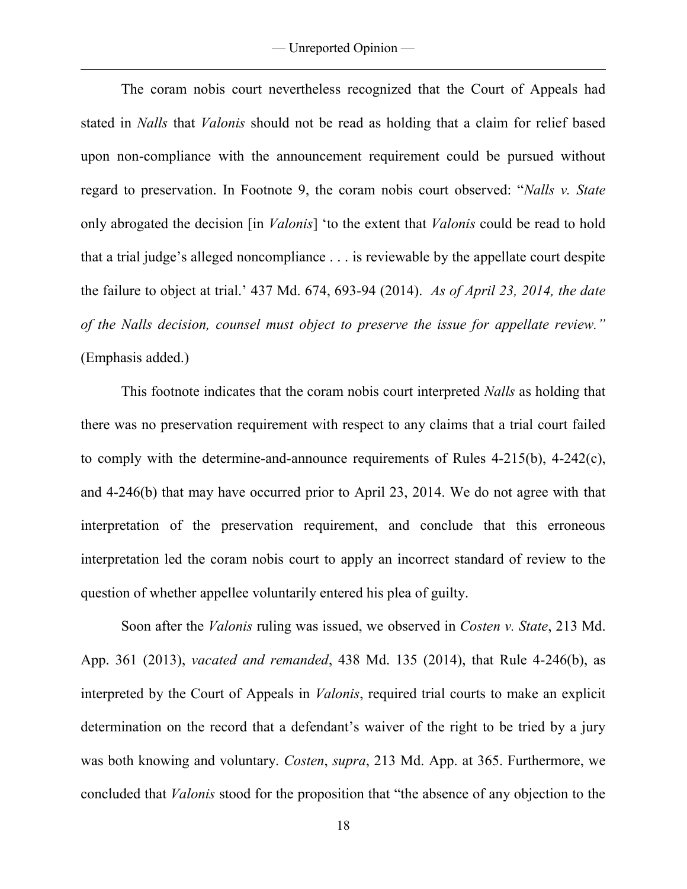The coram nobis court nevertheless recognized that the Court of Appeals had stated in *Nalls* that *Valonis* should not be read as holding that a claim for relief based upon non-compliance with the announcement requirement could be pursued without regard to preservation. In Footnote 9, the coram nobis court observed: "*Nalls v. State* only abrogated the decision [in *Valonis*] 'to the extent that *Valonis* could be read to hold that a trial judge's alleged noncompliance . . . is reviewable by the appellate court despite the failure to object at trial.' 437 Md. 674, 693-94 (2014). *As of April 23, 2014, the date of the Nalls decision, counsel must object to preserve the issue for appellate review."* (Emphasis added.)

 This footnote indicates that the coram nobis court interpreted *Nalls* as holding that there was no preservation requirement with respect to any claims that a trial court failed to comply with the determine-and-announce requirements of Rules 4-215(b), 4-242(c), and 4-246(b) that may have occurred prior to April 23, 2014. We do not agree with that interpretation of the preservation requirement, and conclude that this erroneous interpretation led the coram nobis court to apply an incorrect standard of review to the question of whether appellee voluntarily entered his plea of guilty.

 Soon after the *Valonis* ruling was issued, we observed in *Costen v. State*, 213 Md. App. 361 (2013), *vacated and remanded*, 438 Md. 135 (2014), that Rule 4-246(b), as interpreted by the Court of Appeals in *Valonis*, required trial courts to make an explicit determination on the record that a defendant's waiver of the right to be tried by a jury was both knowing and voluntary. *Costen*, *supra*, 213 Md. App. at 365. Furthermore, we concluded that *Valonis* stood for the proposition that "the absence of any objection to the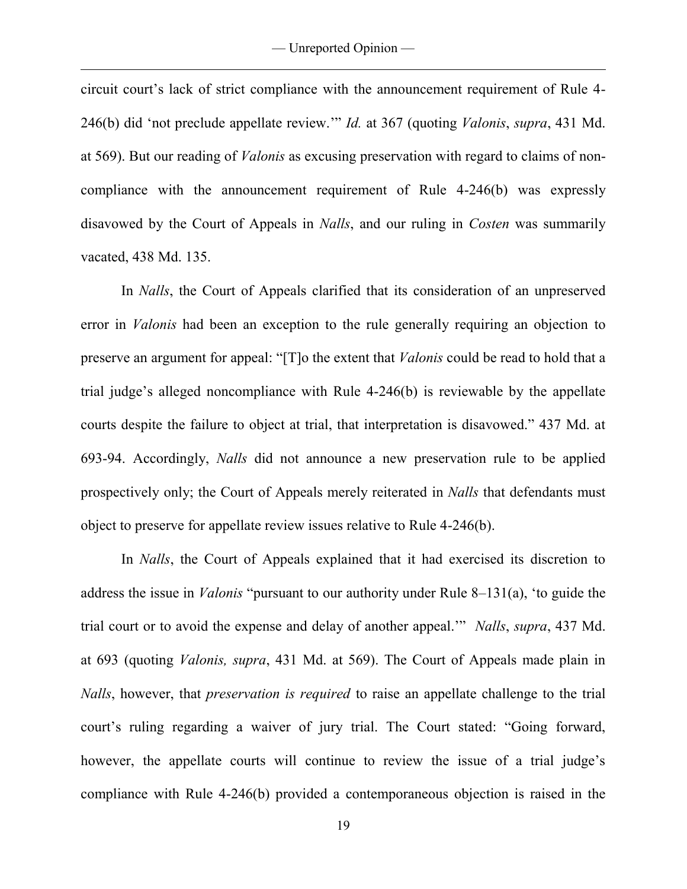circuit court's lack of strict compliance with the announcement requirement of Rule 4- 246(b) did 'not preclude appellate review.'" *Id.* at 367 (quoting *Valonis*, *supra*, 431 Md. at 569). But our reading of *Valonis* as excusing preservation with regard to claims of noncompliance with the announcement requirement of Rule 4-246(b) was expressly disavowed by the Court of Appeals in *Nalls*, and our ruling in *Costen* was summarily vacated, 438 Md. 135.

In *Nalls*, the Court of Appeals clarified that its consideration of an unpreserved error in *Valonis* had been an exception to the rule generally requiring an objection to preserve an argument for appeal: "[T]o the extent that *Valonis* could be read to hold that a trial judge's alleged noncompliance with Rule 4-246(b) is reviewable by the appellate courts despite the failure to object at trial, that interpretation is disavowed." 437 Md. at 693-94. Accordingly, *Nalls* did not announce a new preservation rule to be applied prospectively only; the Court of Appeals merely reiterated in *Nalls* that defendants must object to preserve for appellate review issues relative to Rule 4-246(b).

In *Nalls*, the Court of Appeals explained that it had exercised its discretion to address the issue in *Valonis* "pursuant to our authority under Rule 8–131(a), 'to guide the trial court or to avoid the expense and delay of another appeal.'" *Nalls*, *supra*, 437 Md. at 693 (quoting *Valonis, supra*, 431 Md. at 569). The Court of Appeals made plain in *Nalls*, however, that *preservation is required* to raise an appellate challenge to the trial court's ruling regarding a waiver of jury trial. The Court stated: "Going forward, however, the appellate courts will continue to review the issue of a trial judge's compliance with Rule 4-246(b) provided a contemporaneous objection is raised in the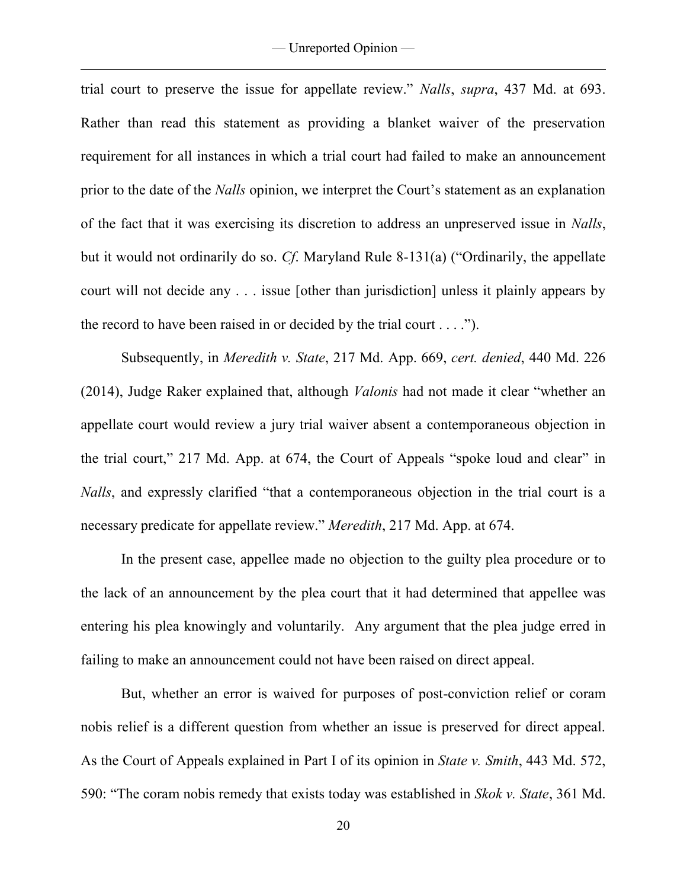trial court to preserve the issue for appellate review." *Nalls*, *supra*, 437 Md. at 693. Rather than read this statement as providing a blanket waiver of the preservation requirement for all instances in which a trial court had failed to make an announcement prior to the date of the *Nalls* opinion, we interpret the Court's statement as an explanation of the fact that it was exercising its discretion to address an unpreserved issue in *Nalls*, but it would not ordinarily do so. *Cf*. Maryland Rule 8-131(a) ("Ordinarily, the appellate court will not decide any . . . issue [other than jurisdiction] unless it plainly appears by the record to have been raised in or decided by the trial court . . . .").

 Subsequently, in *Meredith v. State*, 217 Md. App. 669, *cert. denied*, 440 Md. 226 (2014), Judge Raker explained that, although *Valonis* had not made it clear "whether an appellate court would review a jury trial waiver absent a contemporaneous objection in the trial court," 217 Md. App. at 674, the Court of Appeals "spoke loud and clear" in *Nalls*, and expressly clarified "that a contemporaneous objection in the trial court is a necessary predicate for appellate review." *Meredith*, 217 Md. App. at 674.

 In the present case, appellee made no objection to the guilty plea procedure or to the lack of an announcement by the plea court that it had determined that appellee was entering his plea knowingly and voluntarily. Any argument that the plea judge erred in failing to make an announcement could not have been raised on direct appeal.

 But, whether an error is waived for purposes of post-conviction relief or coram nobis relief is a different question from whether an issue is preserved for direct appeal. As the Court of Appeals explained in Part I of its opinion in *State v. Smith*, 443 Md. 572, 590: "The coram nobis remedy that exists today was established in *Skok v. State*, 361 Md.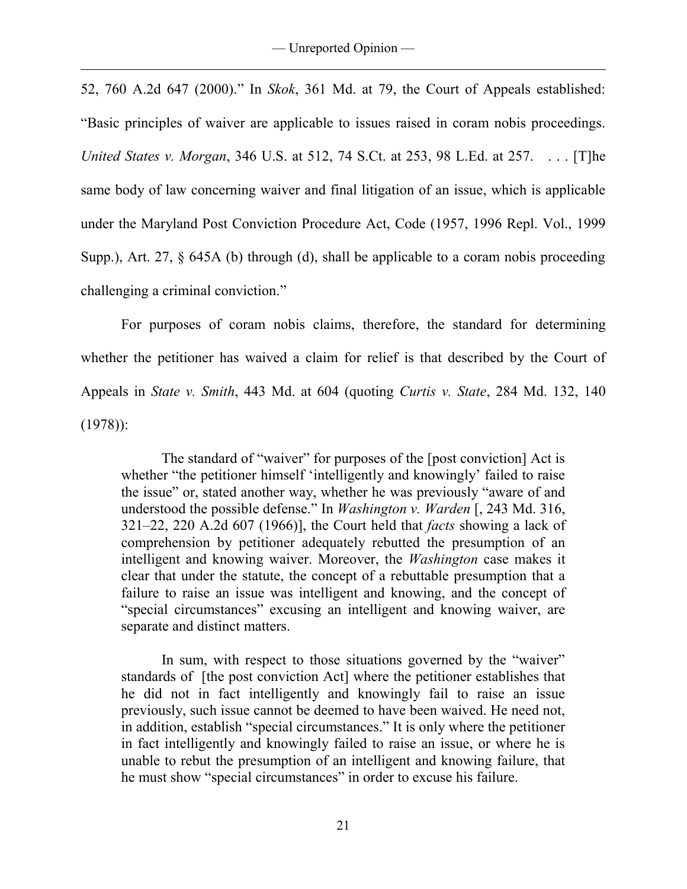52, 760 A.2d 647 (2000)." In *Skok*, 361 Md. at 79, the Court of Appeals established: "Basic principles of waiver are applicable to issues raised in coram nobis proceedings. *United States v. Morgan*, 346 U.S. at 512, 74 S.Ct. at 253, 98 L.Ed. at 257. . . . [T]he same body of law concerning waiver and final litigation of an issue, which is applicable under the Maryland Post Conviction Procedure Act, Code (1957, 1996 Repl. Vol., 1999 Supp.), Art. 27, § 645A (b) through (d), shall be applicable to a coram nobis proceeding challenging a criminal conviction."

 For purposes of coram nobis claims, therefore, the standard for determining whether the petitioner has waived a claim for relief is that described by the Court of Appeals in *State v. Smith*, 443 Md. at 604 (quoting *Curtis v. State*, 284 Md. 132, 140 (1978)):

 The standard of "waiver" for purposes of the [post conviction] Act is whether "the petitioner himself 'intelligently and knowingly' failed to raise the issue" or, stated another way, whether he was previously "aware of and understood the possible defense." In *Washington v. Warden* [, 243 Md. 316, 321–22, 220 A.2d 607 (1966)], the Court held that *facts* showing a lack of comprehension by petitioner adequately rebutted the presumption of an intelligent and knowing waiver. Moreover, the *Washington* case makes it clear that under the statute, the concept of a rebuttable presumption that a failure to raise an issue was intelligent and knowing, and the concept of "special circumstances" excusing an intelligent and knowing waiver, are separate and distinct matters.

 In sum, with respect to those situations governed by the "waiver" standards of [the post conviction Act] where the petitioner establishes that he did not in fact intelligently and knowingly fail to raise an issue previously, such issue cannot be deemed to have been waived. He need not, in addition, establish "special circumstances." It is only where the petitioner in fact intelligently and knowingly failed to raise an issue, or where he is unable to rebut the presumption of an intelligent and knowing failure, that he must show "special circumstances" in order to excuse his failure.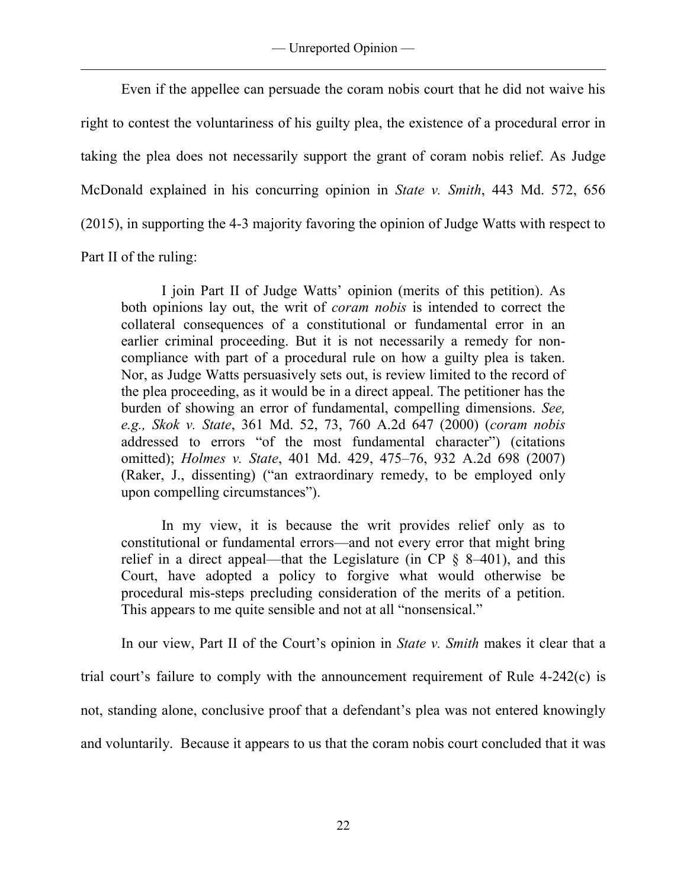Even if the appellee can persuade the coram nobis court that he did not waive his right to contest the voluntariness of his guilty plea, the existence of a procedural error in taking the plea does not necessarily support the grant of coram nobis relief. As Judge McDonald explained in his concurring opinion in *State v. Smith*, 443 Md. 572, 656 (2015), in supporting the 4-3 majority favoring the opinion of Judge Watts with respect to Part II of the ruling:

 I join Part II of Judge Watts' opinion (merits of this petition). As both opinions lay out, the writ of *coram nobis* is intended to correct the collateral consequences of a constitutional or fundamental error in an earlier criminal proceeding. But it is not necessarily a remedy for noncompliance with part of a procedural rule on how a guilty plea is taken. Nor, as Judge Watts persuasively sets out, is review limited to the record of the plea proceeding, as it would be in a direct appeal. The petitioner has the burden of showing an error of fundamental, compelling dimensions. *See, e.g., Skok v. State*, 361 Md. 52, 73, 760 A.2d 647 (2000) (*coram nobis* addressed to errors "of the most fundamental character") (citations omitted); *Holmes v. State*, 401 Md. 429, 475–76, 932 A.2d 698 (2007) (Raker, J., dissenting) ("an extraordinary remedy, to be employed only upon compelling circumstances").

In my view, it is because the writ provides relief only as to constitutional or fundamental errors—and not every error that might bring relief in a direct appeal—that the Legislature (in CP  $\frac{1}{2}$  8–401), and this Court, have adopted a policy to forgive what would otherwise be procedural mis-steps precluding consideration of the merits of a petition. This appears to me quite sensible and not at all "nonsensical."

 In our view, Part II of the Court's opinion in *State v. Smith* makes it clear that a trial court's failure to comply with the announcement requirement of Rule 4-242(c) is not, standing alone, conclusive proof that a defendant's plea was not entered knowingly and voluntarily. Because it appears to us that the coram nobis court concluded that it was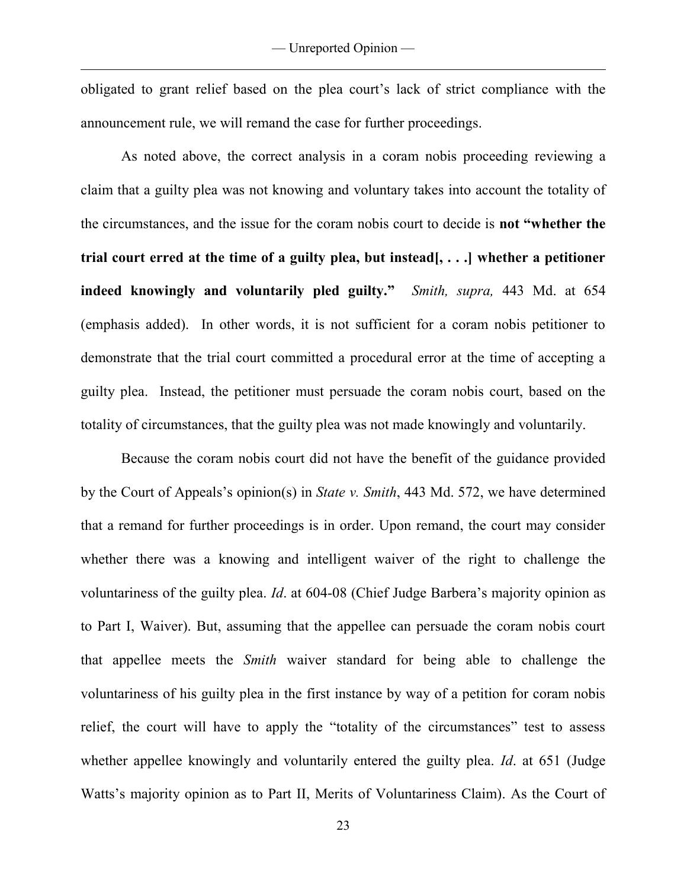obligated to grant relief based on the plea court's lack of strict compliance with the announcement rule, we will remand the case for further proceedings.

 As noted above, the correct analysis in a coram nobis proceeding reviewing a claim that a guilty plea was not knowing and voluntary takes into account the totality of the circumstances, and the issue for the coram nobis court to decide is **not "whether the trial court erred at the time of a guilty plea, but instead[, . . .] whether a petitioner indeed knowingly and voluntarily pled guilty."** *Smith, supra,* 443 Md. at 654 (emphasis added). In other words, it is not sufficient for a coram nobis petitioner to demonstrate that the trial court committed a procedural error at the time of accepting a guilty plea. Instead, the petitioner must persuade the coram nobis court, based on the totality of circumstances, that the guilty plea was not made knowingly and voluntarily.

 Because the coram nobis court did not have the benefit of the guidance provided by the Court of Appeals's opinion(s) in *State v. Smith*, 443 Md. 572, we have determined that a remand for further proceedings is in order. Upon remand, the court may consider whether there was a knowing and intelligent waiver of the right to challenge the voluntariness of the guilty plea. *Id*. at 604-08 (Chief Judge Barbera's majority opinion as to Part I, Waiver). But, assuming that the appellee can persuade the coram nobis court that appellee meets the *Smith* waiver standard for being able to challenge the voluntariness of his guilty plea in the first instance by way of a petition for coram nobis relief, the court will have to apply the "totality of the circumstances" test to assess whether appellee knowingly and voluntarily entered the guilty plea. *Id*. at 651 (Judge Watts's majority opinion as to Part II, Merits of Voluntariness Claim). As the Court of